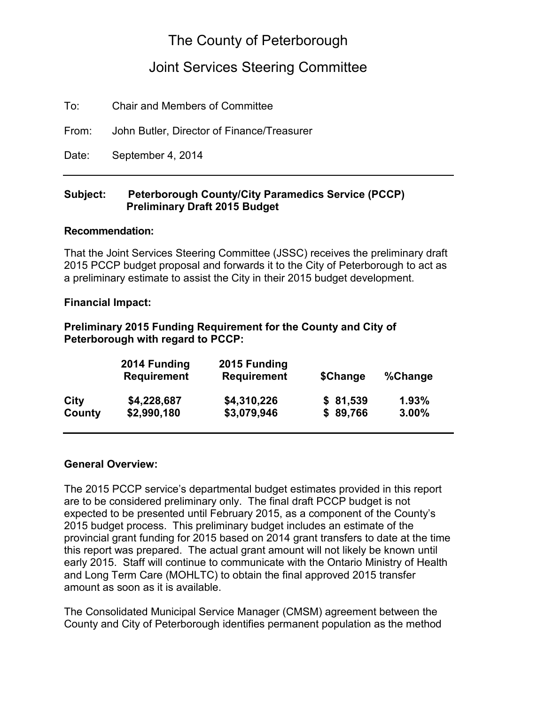# The County of Peterborough

# Joint Services Steering Committee

To: Chair and Members of Committee

From: John Butler, Director of Finance/Treasurer

Date: September 4, 2014

#### **Subject: Peterborough County/City Paramedics Service (PCCP) Preliminary Draft 2015 Budget**

#### **Recommendation:**

That the Joint Services Steering Committee (JSSC) receives the preliminary draft 2015 PCCP budget proposal and forwards it to the City of Peterborough to act as a preliminary estimate to assist the City in their 2015 budget development.

#### **Financial Impact:**

## **Preliminary 2015 Funding Requirement for the County and City of Peterborough with regard to PCCP:**

|        | 2014 Funding<br><b>Requirement</b> | 2015 Funding<br><b>Requirement</b> | \$Change | %Change |
|--------|------------------------------------|------------------------------------|----------|---------|
| City   | \$4,228,687                        | \$4,310,226                        | \$81,539 | 1.93%   |
| County | \$2,990,180                        | \$3,079,946                        | \$89,766 | 3.00%   |

#### **General Overview:**

The 2015 PCCP service's departmental budget estimates provided in this report are to be considered preliminary only. The final draft PCCP budget is not expected to be presented until February 2015, as a component of the County's 2015 budget process. This preliminary budget includes an estimate of the provincial grant funding for 2015 based on 2014 grant transfers to date at the time this report was prepared. The actual grant amount will not likely be known until early 2015. Staff will continue to communicate with the Ontario Ministry of Health and Long Term Care (MOHLTC) to obtain the final approved 2015 transfer amount as soon as it is available.

The Consolidated Municipal Service Manager (CMSM) agreement between the County and City of Peterborough identifies permanent population as the method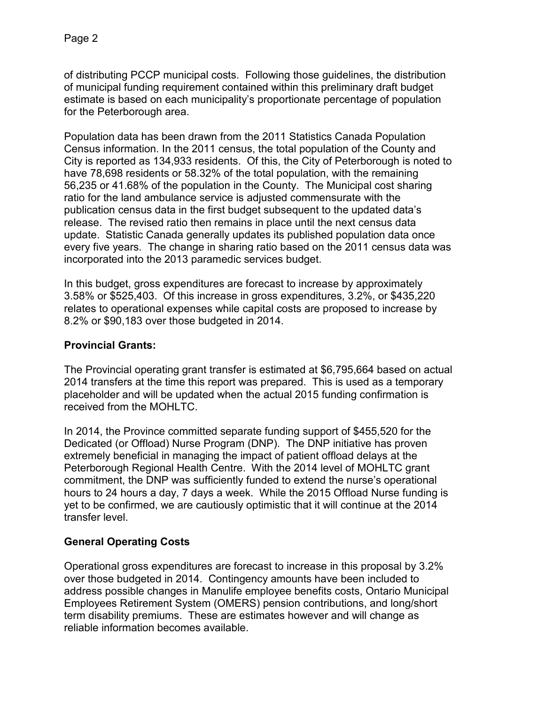of distributing PCCP municipal costs. Following those guidelines, the distribution of municipal funding requirement contained within this preliminary draft budget estimate is based on each municipality's proportionate percentage of population for the Peterborough area.

Population data has been drawn from the 2011 Statistics Canada Population Census information. In the 2011 census, the total population of the County and City is reported as 134,933 residents. Of this, the City of Peterborough is noted to have 78,698 residents or 58.32% of the total population, with the remaining 56,235 or 41.68% of the population in the County. The Municipal cost sharing ratio for the land ambulance service is adjusted commensurate with the publication census data in the first budget subsequent to the updated data's release. The revised ratio then remains in place until the next census data update. Statistic Canada generally updates its published population data once every five years. The change in sharing ratio based on the 2011 census data was incorporated into the 2013 paramedic services budget.

In this budget, gross expenditures are forecast to increase by approximately 3.58% or \$525,403. Of this increase in gross expenditures, 3.2%, or \$435,220 relates to operational expenses while capital costs are proposed to increase by 8.2% or \$90,183 over those budgeted in 2014.

## **Provincial Grants:**

The Provincial operating grant transfer is estimated at \$6,795,664 based on actual 2014 transfers at the time this report was prepared. This is used as a temporary placeholder and will be updated when the actual 2015 funding confirmation is received from the MOHLTC.

In 2014, the Province committed separate funding support of \$455,520 for the Dedicated (or Offload) Nurse Program (DNP). The DNP initiative has proven extremely beneficial in managing the impact of patient offload delays at the Peterborough Regional Health Centre. With the 2014 level of MOHLTC grant commitment, the DNP was sufficiently funded to extend the nurse's operational hours to 24 hours a day, 7 days a week. While the 2015 Offload Nurse funding is yet to be confirmed, we are cautiously optimistic that it will continue at the 2014 transfer level.

## **General Operating Costs**

Operational gross expenditures are forecast to increase in this proposal by 3.2% over those budgeted in 2014. Contingency amounts have been included to address possible changes in Manulife employee benefits costs, Ontario Municipal Employees Retirement System (OMERS) pension contributions, and long/short term disability premiums. These are estimates however and will change as reliable information becomes available.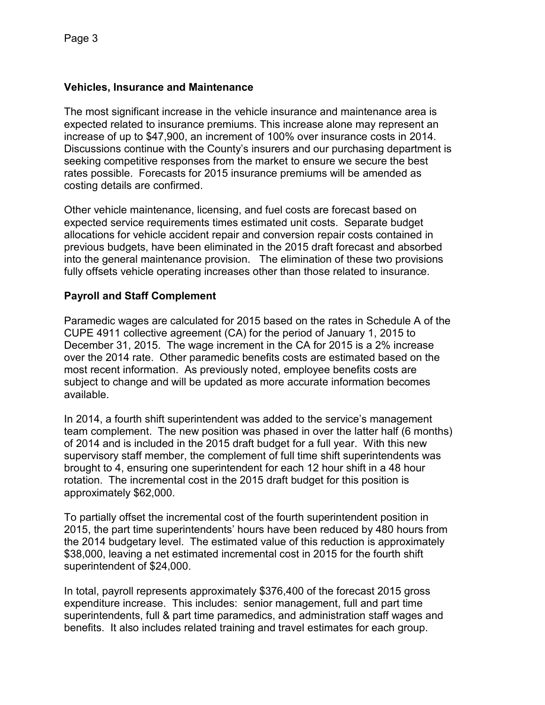## **Vehicles, Insurance and Maintenance**

The most significant increase in the vehicle insurance and maintenance area is expected related to insurance premiums. This increase alone may represent an increase of up to \$47,900, an increment of 100% over insurance costs in 2014. Discussions continue with the County's insurers and our purchasing department is seeking competitive responses from the market to ensure we secure the best rates possible. Forecasts for 2015 insurance premiums will be amended as costing details are confirmed.

Other vehicle maintenance, licensing, and fuel costs are forecast based on expected service requirements times estimated unit costs. Separate budget allocations for vehicle accident repair and conversion repair costs contained in previous budgets, have been eliminated in the 2015 draft forecast and absorbed into the general maintenance provision. The elimination of these two provisions fully offsets vehicle operating increases other than those related to insurance.

## **Payroll and Staff Complement**

Paramedic wages are calculated for 2015 based on the rates in Schedule A of the CUPE 4911 collective agreement (CA) for the period of January 1, 2015 to December 31, 2015. The wage increment in the CA for 2015 is a 2% increase over the 2014 rate. Other paramedic benefits costs are estimated based on the most recent information. As previously noted, employee benefits costs are subject to change and will be updated as more accurate information becomes available.

In 2014, a fourth shift superintendent was added to the service's management team complement. The new position was phased in over the latter half (6 months) of 2014 and is included in the 2015 draft budget for a full year. With this new supervisory staff member, the complement of full time shift superintendents was brought to 4, ensuring one superintendent for each 12 hour shift in a 48 hour rotation. The incremental cost in the 2015 draft budget for this position is approximately \$62,000.

To partially offset the incremental cost of the fourth superintendent position in 2015, the part time superintendents' hours have been reduced by 480 hours from the 2014 budgetary level. The estimated value of this reduction is approximately \$38,000, leaving a net estimated incremental cost in 2015 for the fourth shift superintendent of \$24,000.

In total, payroll represents approximately \$376,400 of the forecast 2015 gross expenditure increase. This includes: senior management, full and part time superintendents, full & part time paramedics, and administration staff wages and benefits. It also includes related training and travel estimates for each group.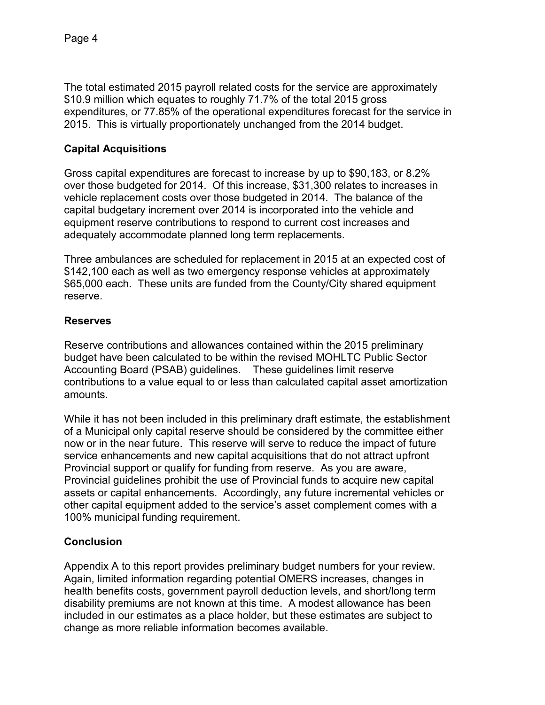The total estimated 2015 payroll related costs for the service are approximately \$10.9 million which equates to roughly 71.7% of the total 2015 gross expenditures, or 77.85% of the operational expenditures forecast for the service in 2015. This is virtually proportionately unchanged from the 2014 budget.

# **Capital Acquisitions**

Gross capital expenditures are forecast to increase by up to \$90,183, or 8.2% over those budgeted for 2014. Of this increase, \$31,300 relates to increases in vehicle replacement costs over those budgeted in 2014. The balance of the capital budgetary increment over 2014 is incorporated into the vehicle and equipment reserve contributions to respond to current cost increases and adequately accommodate planned long term replacements.

Three ambulances are scheduled for replacement in 2015 at an expected cost of \$142,100 each as well as two emergency response vehicles at approximately \$65,000 each. These units are funded from the County/City shared equipment reserve.

## **Reserves**

Reserve contributions and allowances contained within the 2015 preliminary budget have been calculated to be within the revised MOHLTC Public Sector Accounting Board (PSAB) guidelines. These guidelines limit reserve contributions to a value equal to or less than calculated capital asset amortization amounts.

While it has not been included in this preliminary draft estimate, the establishment of a Municipal only capital reserve should be considered by the committee either now or in the near future. This reserve will serve to reduce the impact of future service enhancements and new capital acquisitions that do not attract upfront Provincial support or qualify for funding from reserve. As you are aware, Provincial guidelines prohibit the use of Provincial funds to acquire new capital assets or capital enhancements. Accordingly, any future incremental vehicles or other capital equipment added to the service's asset complement comes with a 100% municipal funding requirement.

## **Conclusion**

Appendix A to this report provides preliminary budget numbers for your review. Again, limited information regarding potential OMERS increases, changes in health benefits costs, government payroll deduction levels, and short/long term disability premiums are not known at this time. A modest allowance has been included in our estimates as a place holder, but these estimates are subject to change as more reliable information becomes available.